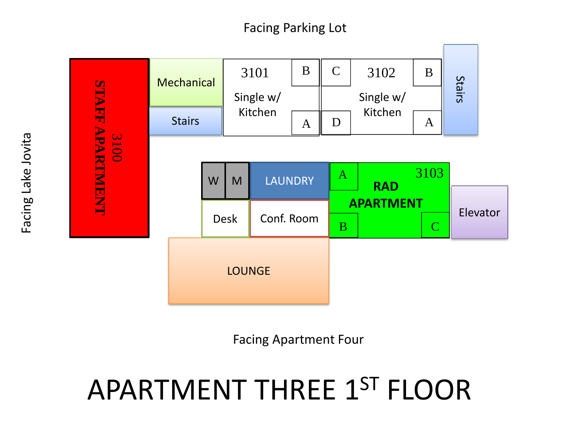

Facing Apartment Four

## APARTMENT THREE 1ST FLOOR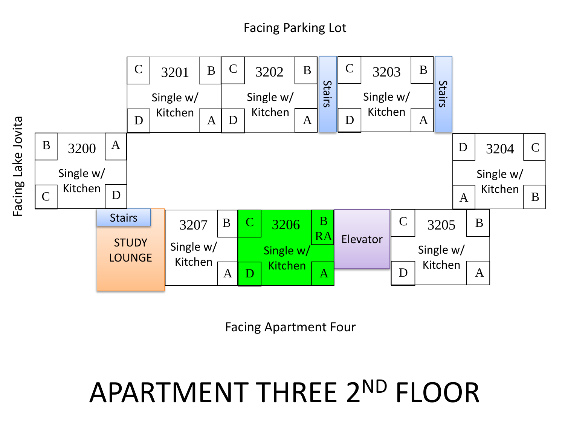

Facing Apartment Four

### APARTMENT THREE 2ND FLOOR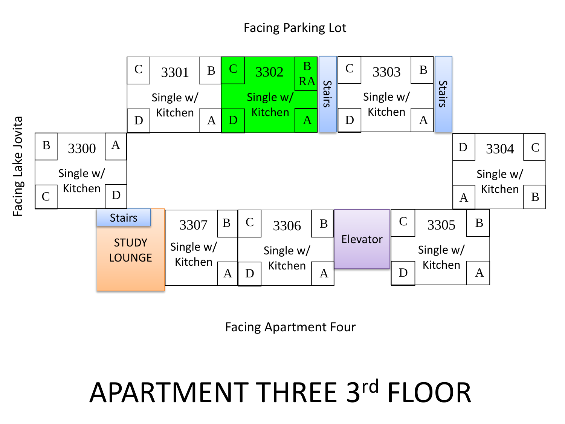

Facing Apartment Four

### APARTMENT THREE 3rd FLOOR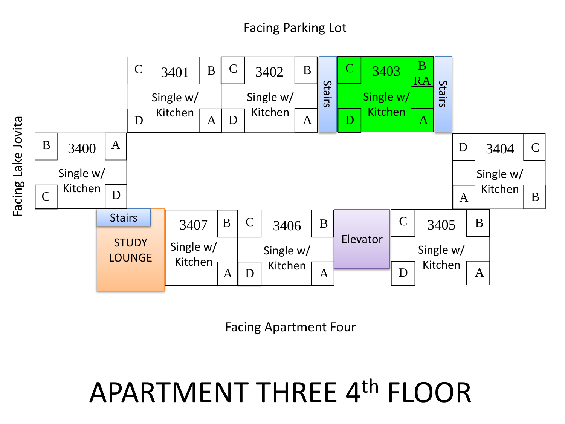

Facing Apartment Four

### APARTMENT THREE 4th FLOOR